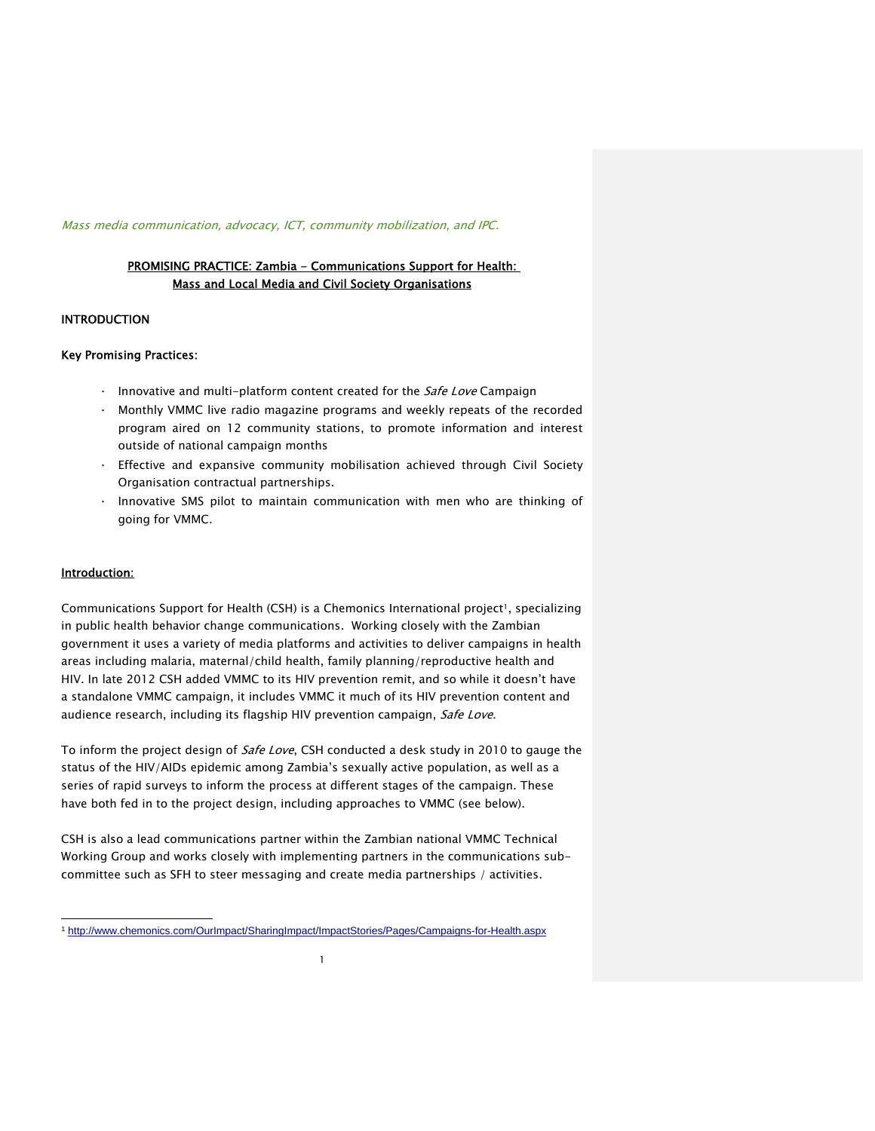### Mass media communication, advocacy, ICT, community mobilization, and IPC.

# PROMISING PRACTICE: Zambia - Communications Support for Health: Mass and Local Media and Civil Society Organisations

### INTRODUCTION

### Key Promising Practices:

- $\cdot$  Innovative and multi-platform content created for the *Safe Love* Campaign
- · Monthly VMMC live radio magazine programs and weekly repeats of the recorded program aired on 12 community stations, to promote information and interest outside of national campaign months
- Effective and expansive community mobilisation achieved through Civil Society Organisation contractual partnerships.
- · Innovative SMS pilot to maintain communication with men who are thinking of going for VMMC.

### Introduction:

Communications Support for Health (CSH) is a Chemonics International project<sup>1</sup>, specializing in public health behavior change communications. Working closely with the Zambian government it uses a variety of media platforms and activities to deliver campaigns in health areas including malaria, maternal/child health, family planning/reproductive health and HIV. In late 2012 CSH added VMMC to its HIV prevention remit, and so while it doesn't have a standalone VMMC campaign, it includes VMMC it much of its HIV prevention content and audience research, including its flagship HIV prevention campaign, Safe Love.

To inform the project design of *Safe Love*, CSH conducted a desk study in 2010 to gauge the status of the HIV/AIDs epidemic among Zambia's sexually active population, as well as a series of rapid surveys to inform the process at different stages of the campaign. These have both fed in to the project design, including approaches to VMMC (see below).

CSH is also a lead communications partner within the Zambian national VMMC Technical Working Group and works closely with implementing partners in the communications subcommittee such as SFH to steer messaging and create media partnerships / activities.

j <sup>1</sup> http://www.chemonics.com/OurImpact/SharingImpact/ImpactStories/Pages/Campaigns-for-Health.aspx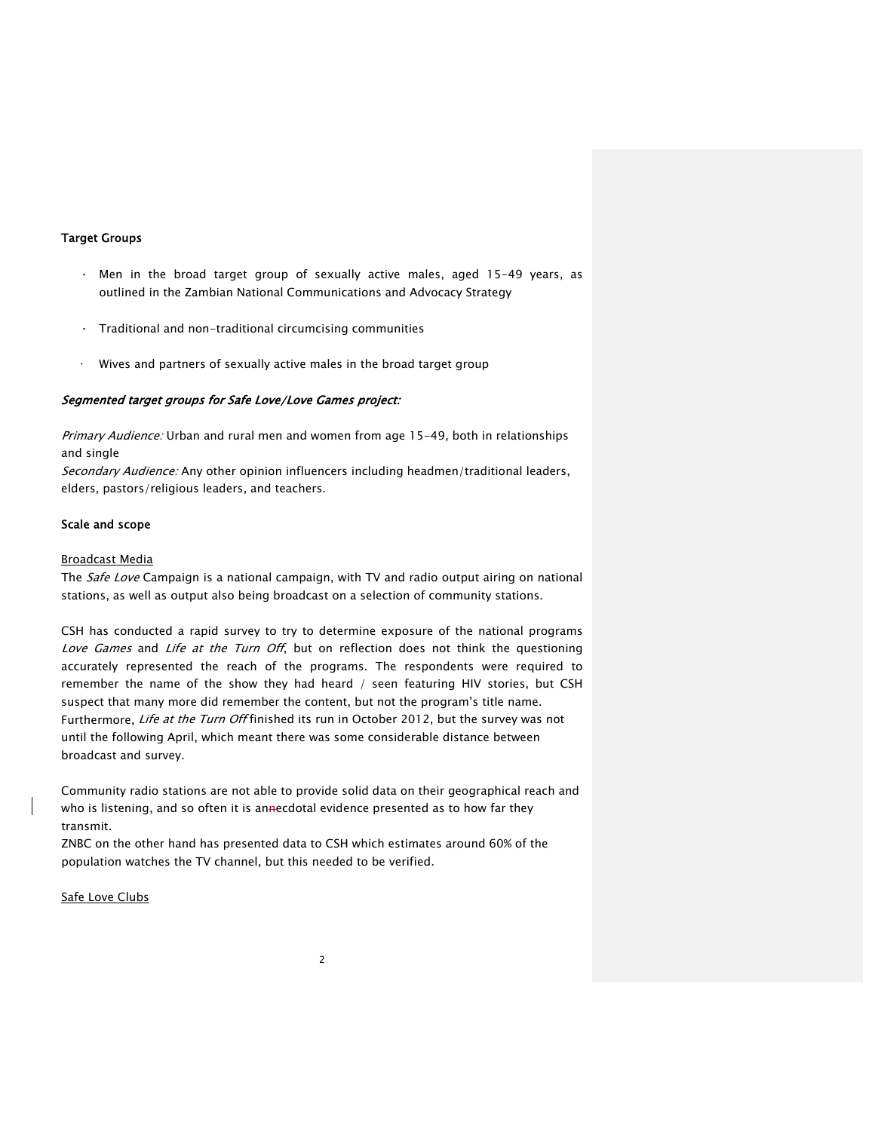# Target Groups

- · Men in the broad target group of sexually active males, aged 15-49 years, as outlined in the Zambian National Communications and Advocacy Strategy
- · Traditional and non-traditional circumcising communities
- · Wives and partners of sexually active males in the broad target group

# Segmented target groups for Safe Love/Love Games project:

Primary Audience: Urban and rural men and women from age 15-49, both in relationships and single

Secondary Audience: Any other opinion influencers including headmen/traditional leaders, elders, pastors/religious leaders, and teachers.

### Scale and scope

#### Broadcast Media

The *Safe Love* Campaign is a national campaign, with TV and radio output airing on national stations, as well as output also being broadcast on a selection of community stations.

CSH has conducted a rapid survey to try to determine exposure of the national programs Love Games and Life at the Turn Off, but on reflection does not think the questioning accurately represented the reach of the programs. The respondents were required to remember the name of the show they had heard / seen featuring HIV stories, but CSH suspect that many more did remember the content, but not the program's title name. Furthermore, Life at the Turn Off finished its run in October 2012, but the survey was not until the following April, which meant there was some considerable distance between broadcast and survey.

Community radio stations are not able to provide solid data on their geographical reach and who is listening, and so often it is annecdotal evidence presented as to how far they transmit.

ZNBC on the other hand has presented data to CSH which estimates around 60% of the population watches the TV channel, but this needed to be verified.

Safe Love Clubs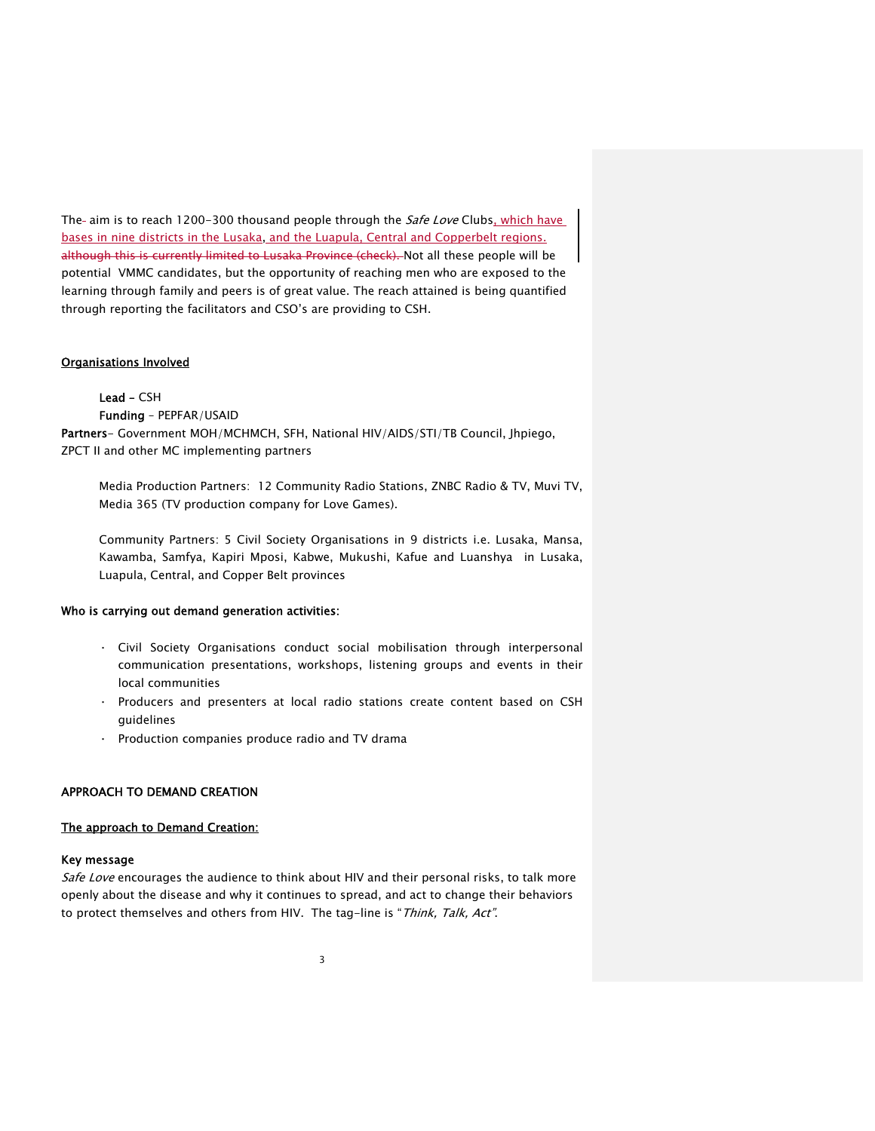The- aim is to reach 1200-300 thousand people through the Safe Love Clubs, which have bases in nine districts in the Lusaka, and the Luapula, Central and Copperbelt regions. although this is currently limited to Lusaka Province (check). Not all these people will be potential VMMC candidates, but the opportunity of reaching men who are exposed to the learning through family and peers is of great value. The reach attained is being quantified through reporting the facilitators and CSO's are providing to CSH.

# Organisations Involved

Lead – CSH Funding – PEPFAR/USAID Partners- Government MOH/MCHMCH, SFH, National HIV/AIDS/STI/TB Council, Jhpiego, ZPCT II and other MC implementing partners

Media Production Partners: 12 Community Radio Stations, ZNBC Radio & TV, Muvi TV, Media 365 (TV production company for Love Games).

Community Partners: 5 Civil Society Organisations in 9 districts i.e. Lusaka, Mansa, Kawamba, Samfya, Kapiri Mposi, Kabwe, Mukushi, Kafue and Luanshya in Lusaka, Luapula, Central, and Copper Belt provinces

### Who is carrying out demand generation activities:

- · Civil Society Organisations conduct social mobilisation through interpersonal communication presentations, workshops, listening groups and events in their local communities
- · Producers and presenters at local radio stations create content based on CSH guidelines
- Production companies produce radio and TV drama

# APPROACH TO DEMAND CREATION

### The approach to Demand Creation:

### Key message

Safe Love encourages the audience to think about HIV and their personal risks, to talk more openly about the disease and why it continues to spread, and act to change their behaviors to protect themselves and others from HIV. The tag-line is "Think, Talk, Act".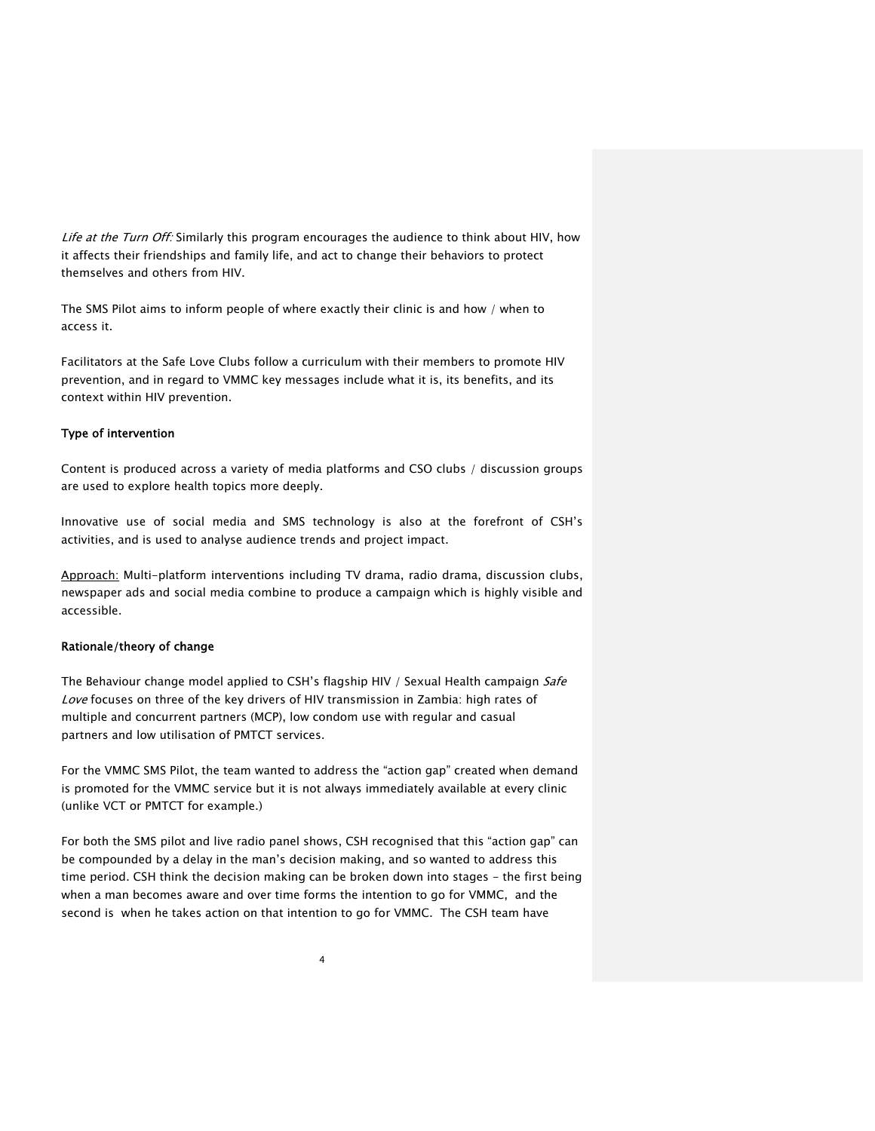Life at the Turn Off: Similarly this program encourages the audience to think about HIV, how it affects their friendships and family life, and act to change their behaviors to protect themselves and others from HIV.

The SMS Pilot aims to inform people of where exactly their clinic is and how / when to access it.

Facilitators at the Safe Love Clubs follow a curriculum with their members to promote HIV prevention, and in regard to VMMC key messages include what it is, its benefits, and its context within HIV prevention.

# Type of intervention

Content is produced across a variety of media platforms and CSO clubs / discussion groups are used to explore health topics more deeply.

Innovative use of social media and SMS technology is also at the forefront of CSH's activities, and is used to analyse audience trends and project impact.

Approach: Multi-platform interventions including TV drama, radio drama, discussion clubs, newspaper ads and social media combine to produce a campaign which is highly visible and accessible.

### Rationale/theory of change

The Behaviour change model applied to CSH's flagship HIV / Sexual Health campaign Safe Love focuses on three of the key drivers of HIV transmission in Zambia: high rates of multiple and concurrent partners (MCP), low condom use with regular and casual partners and low utilisation of PMTCT services.

For the VMMC SMS Pilot, the team wanted to address the "action gap" created when demand is promoted for the VMMC service but it is not always immediately available at every clinic (unlike VCT or PMTCT for example.)

For both the SMS pilot and live radio panel shows, CSH recognised that this "action gap" can be compounded by a delay in the man's decision making, and so wanted to address this time period. CSH think the decision making can be broken down into stages - the first being when a man becomes aware and over time forms the intention to go for VMMC, and the second is when he takes action on that intention to go for VMMC. The CSH team have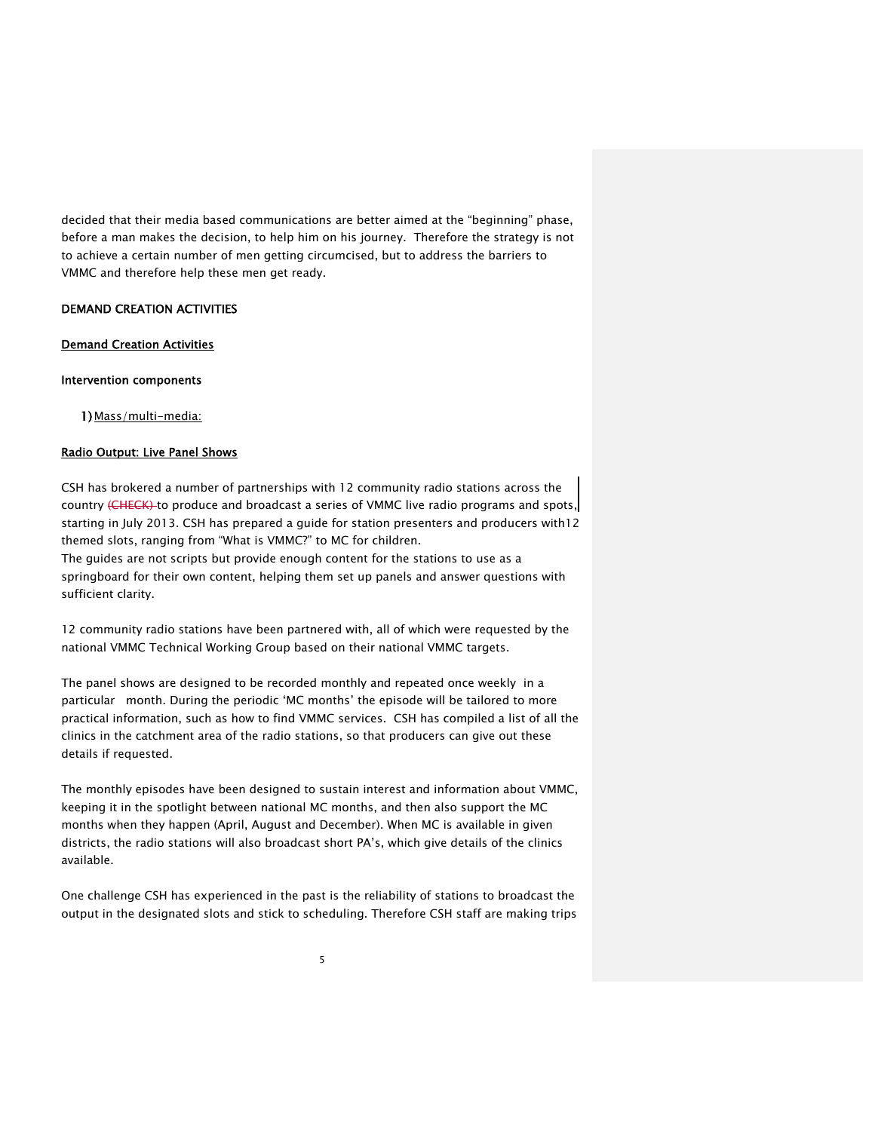decided that their media based communications are better aimed at the "beginning" phase, before a man makes the decision, to help him on his journey. Therefore the strategy is not to achieve a certain number of men getting circumcised, but to address the barriers to VMMC and therefore help these men get ready.

### DEMAND CREATION ACTIVITIES

# Demand Creation Activities

#### Intervention components

1) Mass/multi-media:

## Radio Output: Live Panel Shows

CSH has brokered a number of partnerships with 12 community radio stations across the country (CHECK) to produce and broadcast a series of VMMC live radio programs and spots, starting in July 2013. CSH has prepared a guide for station presenters and producers with12 themed slots, ranging from "What is VMMC?" to MC for children. The guides are not scripts but provide enough content for the stations to use as a springboard for their own content, helping them set up panels and answer questions with sufficient clarity.

12 community radio stations have been partnered with, all of which were requested by the national VMMC Technical Working Group based on their national VMMC targets.

The panel shows are designed to be recorded monthly and repeated once weekly in a particular month. During the periodic 'MC months' the episode will be tailored to more practical information, such as how to find VMMC services. CSH has compiled a list of all the clinics in the catchment area of the radio stations, so that producers can give out these details if requested.

The monthly episodes have been designed to sustain interest and information about VMMC, keeping it in the spotlight between national MC months, and then also support the MC months when they happen (April, August and December). When MC is available in given districts, the radio stations will also broadcast short PA's, which give details of the clinics available.

One challenge CSH has experienced in the past is the reliability of stations to broadcast the output in the designated slots and stick to scheduling. Therefore CSH staff are making trips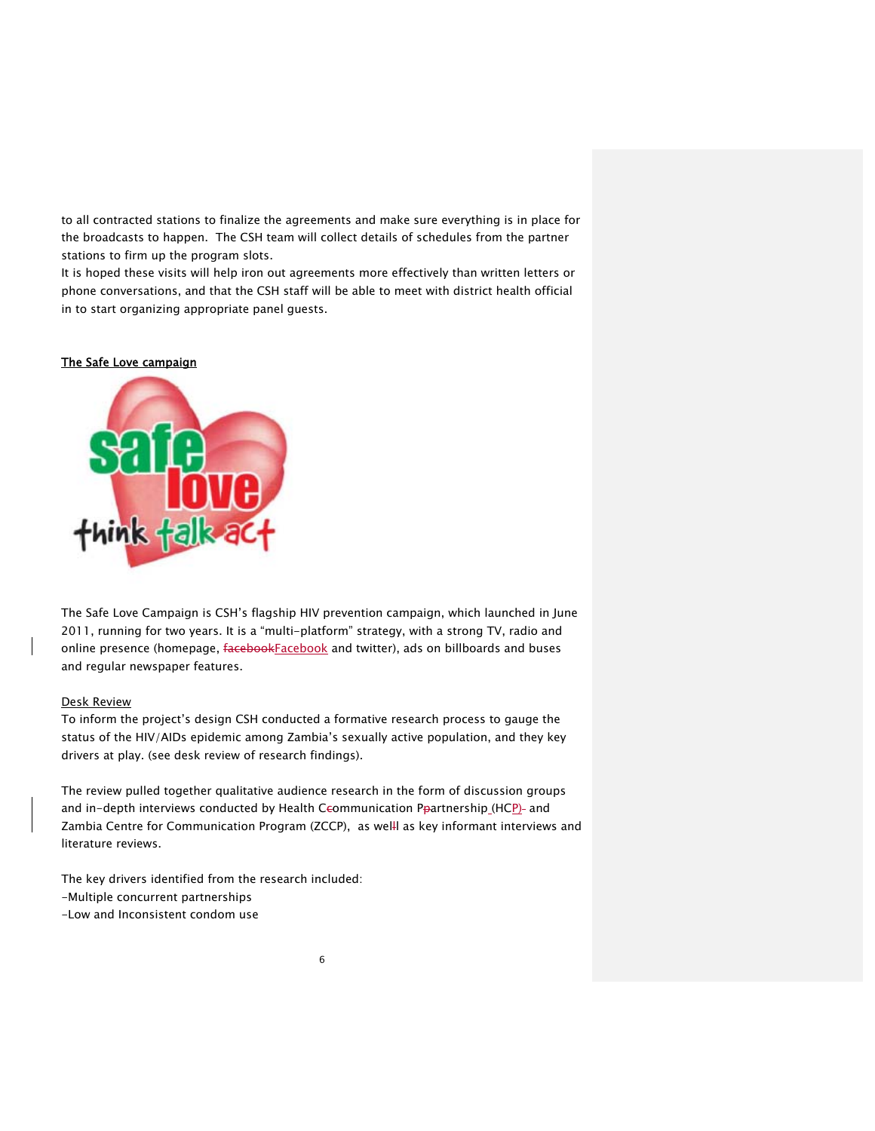to all contracted stations to finalize the agreements and make sure everything is in place for the broadcasts to happen. The CSH team will collect details of schedules from the partner stations to firm up the program slots.

It is hoped these visits will help iron out agreements more effectively than written letters or phone conversations, and that the CSH staff will be able to meet with district health official in to start organizing appropriate panel guests.

### The Safe Love campaign



The Safe Love Campaign is CSH's flagship HIV prevention campaign, which launched in June 2011, running for two years. It is a "multi-platform" strategy, with a strong TV, radio and online presence (homepage, facebookFacebook and twitter), ads on billboards and buses and regular newspaper features.

### Desk Review

To inform the project's design CSH conducted a formative research process to gauge the status of the HIV/AIDs epidemic among Zambia's sexually active population, and they key drivers at play. (see desk review of research findings).

The review pulled together qualitative audience research in the form of discussion groups and in-depth interviews conducted by Health Ccommunication Ppartnership (HCP)- and Zambia Centre for Communication Program (ZCCP), as welll as key informant interviews and literature reviews.

The key drivers identified from the research included:

- -Multiple concurrent partnerships
- -Low and Inconsistent condom use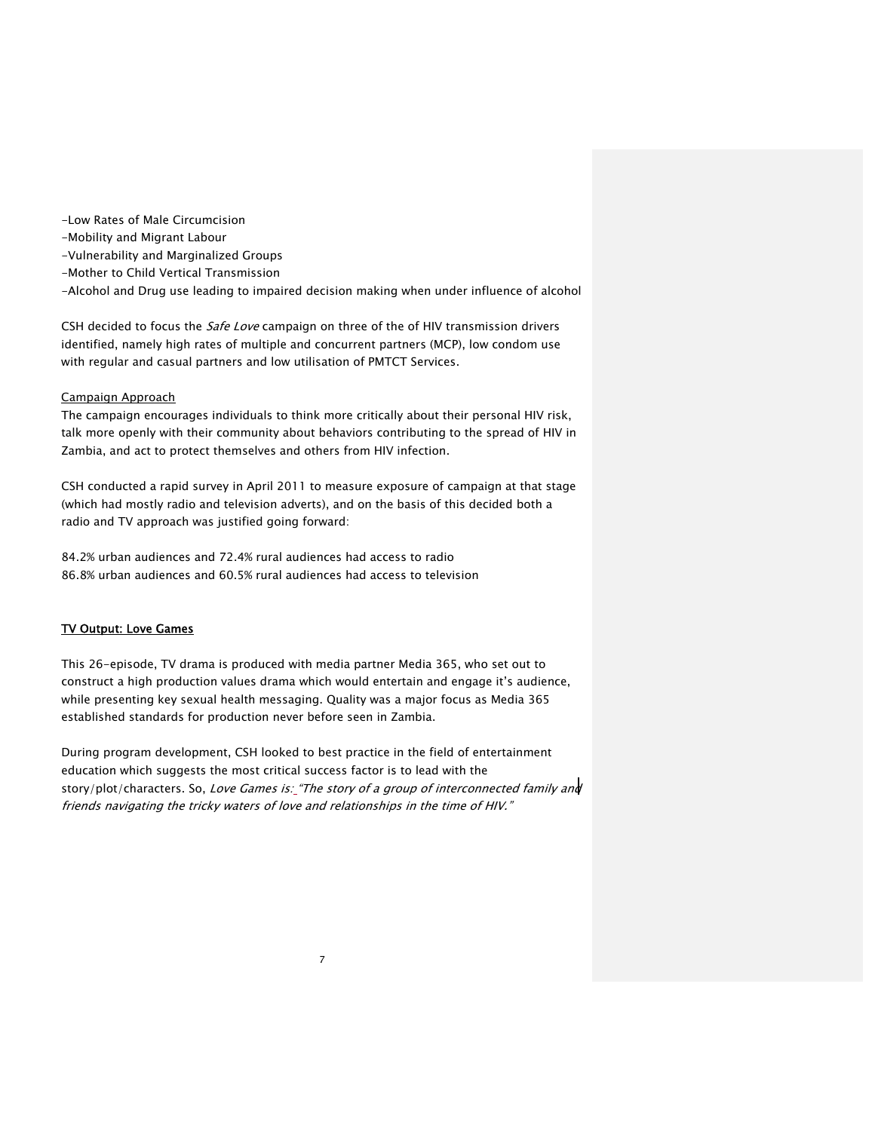- -Low Rates of Male Circumcision
- -Mobility and Migrant Labour
- -Vulnerability and Marginalized Groups
- -Mother to Child Vertical Transmission
- -Alcohol and Drug use leading to impaired decision making when under influence of alcohol

CSH decided to focus the Safe Love campaign on three of the of HIV transmission drivers identified, namely high rates of multiple and concurrent partners (MCP), low condom use with regular and casual partners and low utilisation of PMTCT Services.

# Campaign Approach

The campaign encourages individuals to think more critically about their personal HIV risk, talk more openly with their community about behaviors contributing to the spread of HIV in Zambia, and act to protect themselves and others from HIV infection.

CSH conducted a rapid survey in April 2011 to measure exposure of campaign at that stage (which had mostly radio and television adverts), and on the basis of this decided both a radio and TV approach was justified going forward:

84.2% urban audiences and 72.4% rural audiences had access to radio 86.8% urban audiences and 60.5% rural audiences had access to television

# TV Output: Love Games

This 26-episode, TV drama is produced with media partner Media 365, who set out to construct a high production values drama which would entertain and engage it's audience, while presenting key sexual health messaging. Quality was a major focus as Media 365 established standards for production never before seen in Zambia.

During program development, CSH looked to best practice in the field of entertainment education which suggests the most critical success factor is to lead with the story/plot/characters. So, Love Games is: "The story of a group of interconnected family and friends navigating the tricky waters of love and relationships in the time of HIV."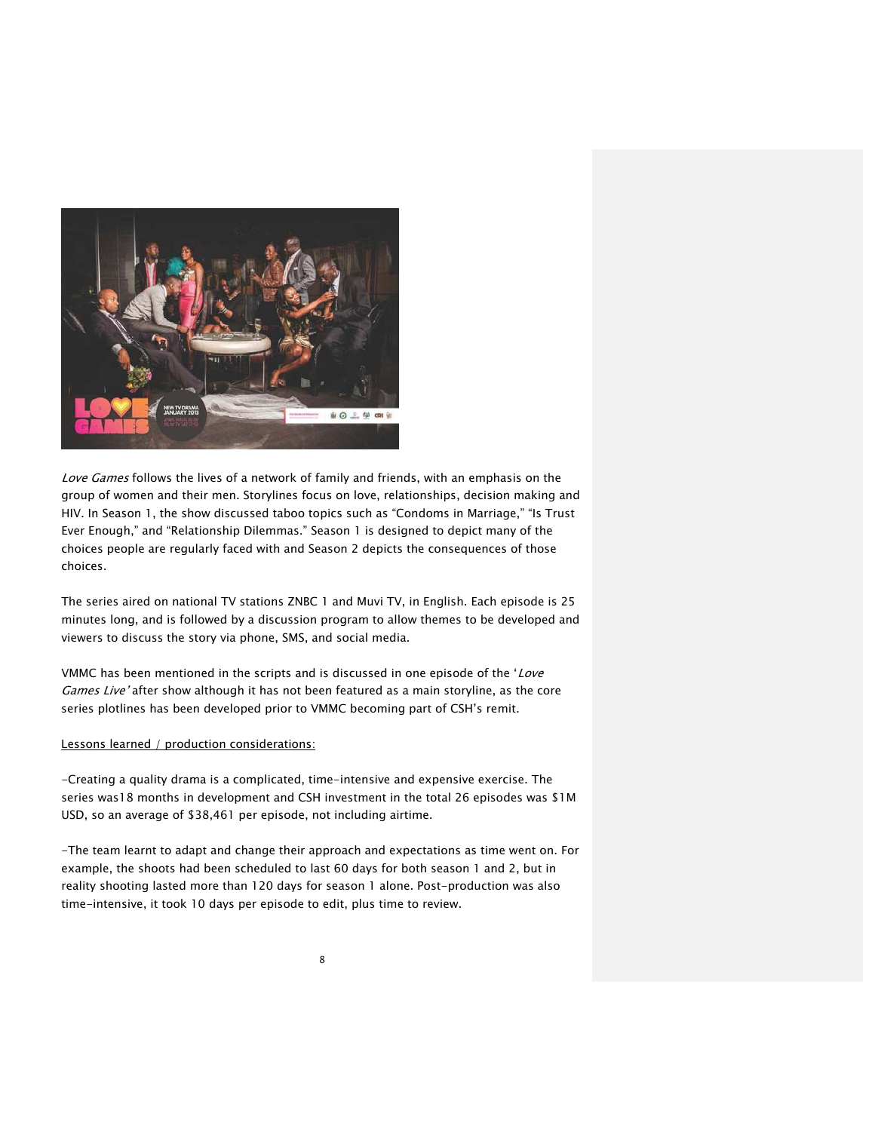

Love Games follows the lives of a network of family and friends, with an emphasis on the group of women and their men. Storylines focus on love, relationships, decision making and HIV. In Season 1, the show discussed taboo topics such as "Condoms in Marriage," "Is Trust Ever Enough," and "Relationship Dilemmas." Season 1 is designed to depict many of the choices people are regularly faced with and Season 2 depicts the consequences of those choices.

The series aired on national TV stations ZNBC 1 and Muvi TV, in English. Each episode is 25 minutes long, and is followed by a discussion program to allow themes to be developed and viewers to discuss the story via phone, SMS, and social media.

VMMC has been mentioned in the scripts and is discussed in one episode of the 'Love Games Live' after show although it has not been featured as a main storyline, as the core series plotlines has been developed prior to VMMC becoming part of CSH's remit.

### Lessons learned / production considerations:

-Creating a quality drama is a complicated, time-intensive and expensive exercise. The series was18 months in development and CSH investment in the total 26 episodes was \$1M USD, so an average of \$38,461 per episode, not including airtime.

-The team learnt to adapt and change their approach and expectations as time went on. For example, the shoots had been scheduled to last 60 days for both season 1 and 2, but in reality shooting lasted more than 120 days for season 1 alone. Post-production was also time-intensive, it took 10 days per episode to edit, plus time to review.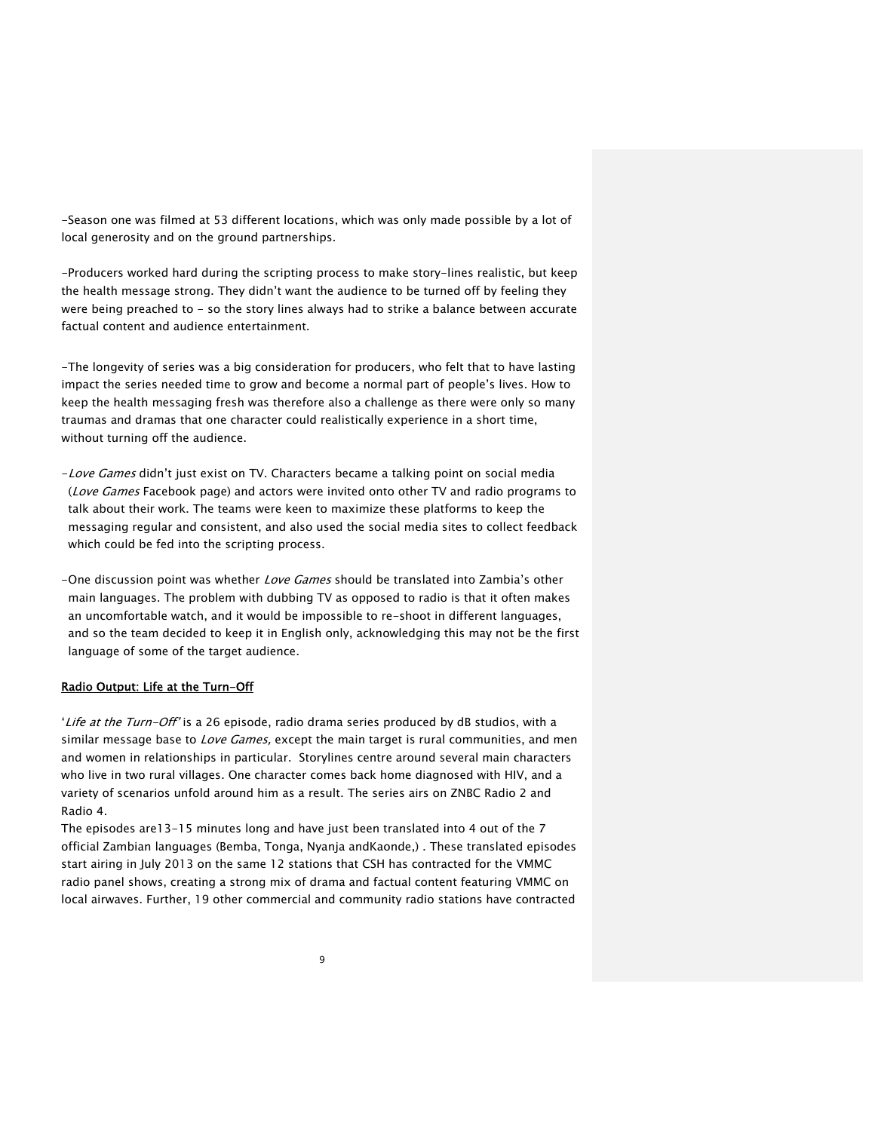-Season one was filmed at 53 different locations, which was only made possible by a lot of local generosity and on the ground partnerships.

-Producers worked hard during the scripting process to make story-lines realistic, but keep the health message strong. They didn't want the audience to be turned off by feeling they were being preached to - so the story lines always had to strike a balance between accurate factual content and audience entertainment.

-The longevity of series was a big consideration for producers, who felt that to have lasting impact the series needed time to grow and become a normal part of people's lives. How to keep the health messaging fresh was therefore also a challenge as there were only so many traumas and dramas that one character could realistically experience in a short time, without turning off the audience.

- -Love Games didn't just exist on TV. Characters became a talking point on social media (Love Games Facebook page) and actors were invited onto other TV and radio programs to talk about their work. The teams were keen to maximize these platforms to keep the messaging regular and consistent, and also used the social media sites to collect feedback which could be fed into the scripting process.
- -One discussion point was whether Love Games should be translated into Zambia's other main languages. The problem with dubbing TV as opposed to radio is that it often makes an uncomfortable watch, and it would be impossible to re-shoot in different languages, and so the team decided to keep it in English only, acknowledging this may not be the first language of some of the target audience.

### Radio Output: Life at the Turn-Off

'Life at the Turn-Off' is a 26 episode, radio drama series produced by dB studios, with a similar message base to *Love Games*, except the main target is rural communities, and men and women in relationships in particular. Storylines centre around several main characters who live in two rural villages. One character comes back home diagnosed with HIV, and a variety of scenarios unfold around him as a result. The series airs on ZNBC Radio 2 and Radio 4.

The episodes are13-15 minutes long and have just been translated into 4 out of the 7 official Zambian languages (Bemba, Tonga, Nyanja andKaonde,) . These translated episodes start airing in July 2013 on the same 12 stations that CSH has contracted for the VMMC radio panel shows, creating a strong mix of drama and factual content featuring VMMC on local airwaves. Further, 19 other commercial and community radio stations have contracted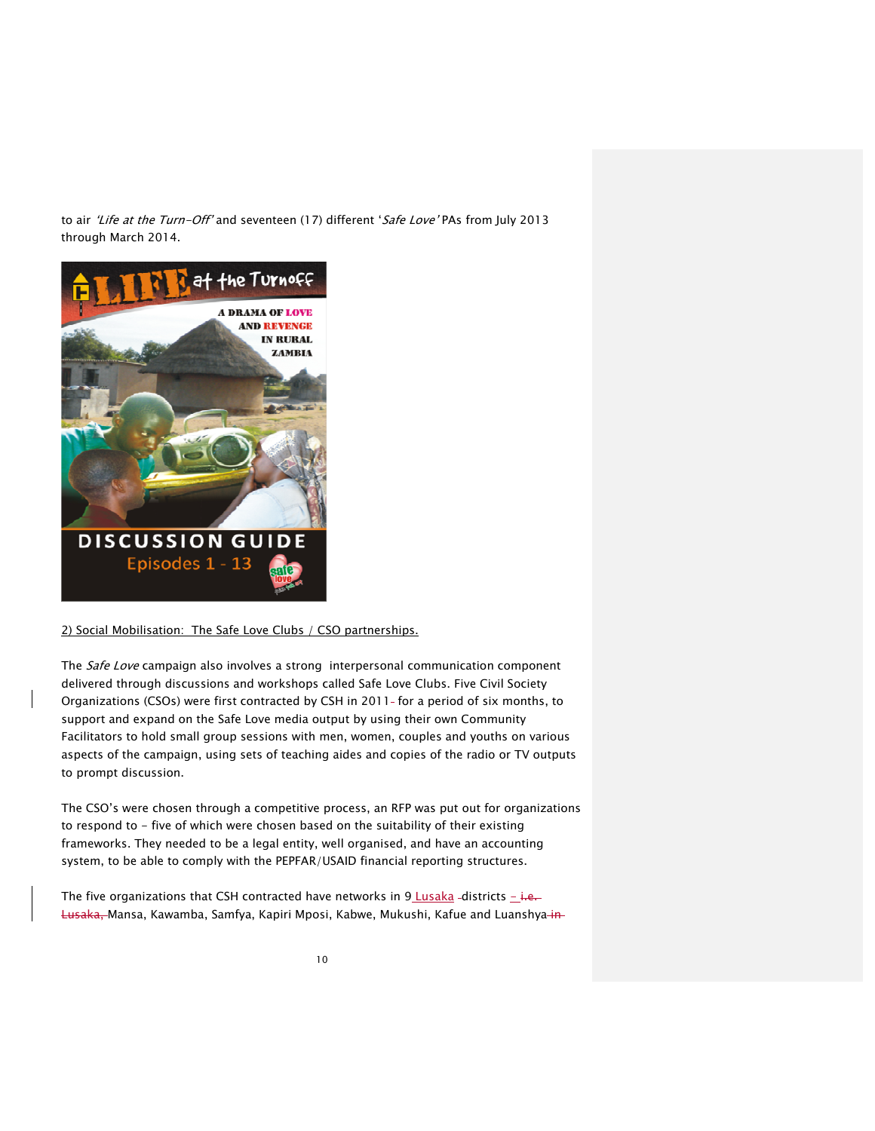to air 'Life at the Turn-Off' and seventeen (17) different 'Safe Love' PAs from July 2013 through March 2014.



# 2) Social Mobilisation: The Safe Love Clubs / CSO partnerships.

The Safe Love campaign also involves a strong interpersonal communication component delivered through discussions and workshops called Safe Love Clubs. Five Civil Society Organizations (CSOs) were first contracted by CSH in 2011- for a period of six months, to support and expand on the Safe Love media output by using their own Community Facilitators to hold small group sessions with men, women, couples and youths on various aspects of the campaign, using sets of teaching aides and copies of the radio or TV outputs to prompt discussion.

The CSO's were chosen through a competitive process, an RFP was put out for organizations to respond to - five of which were chosen based on the suitability of their existing frameworks. They needed to be a legal entity, well organised, and have an accounting system, to be able to comply with the PEPFAR/USAID financial reporting structures.

The five organizations that CSH contracted have networks in 9 Lusaka-districts  $-i.e.$ Lusaka, Mansa, Kawamba, Samfya, Kapiri Mposi, Kabwe, Mukushi, Kafue and Luanshya-in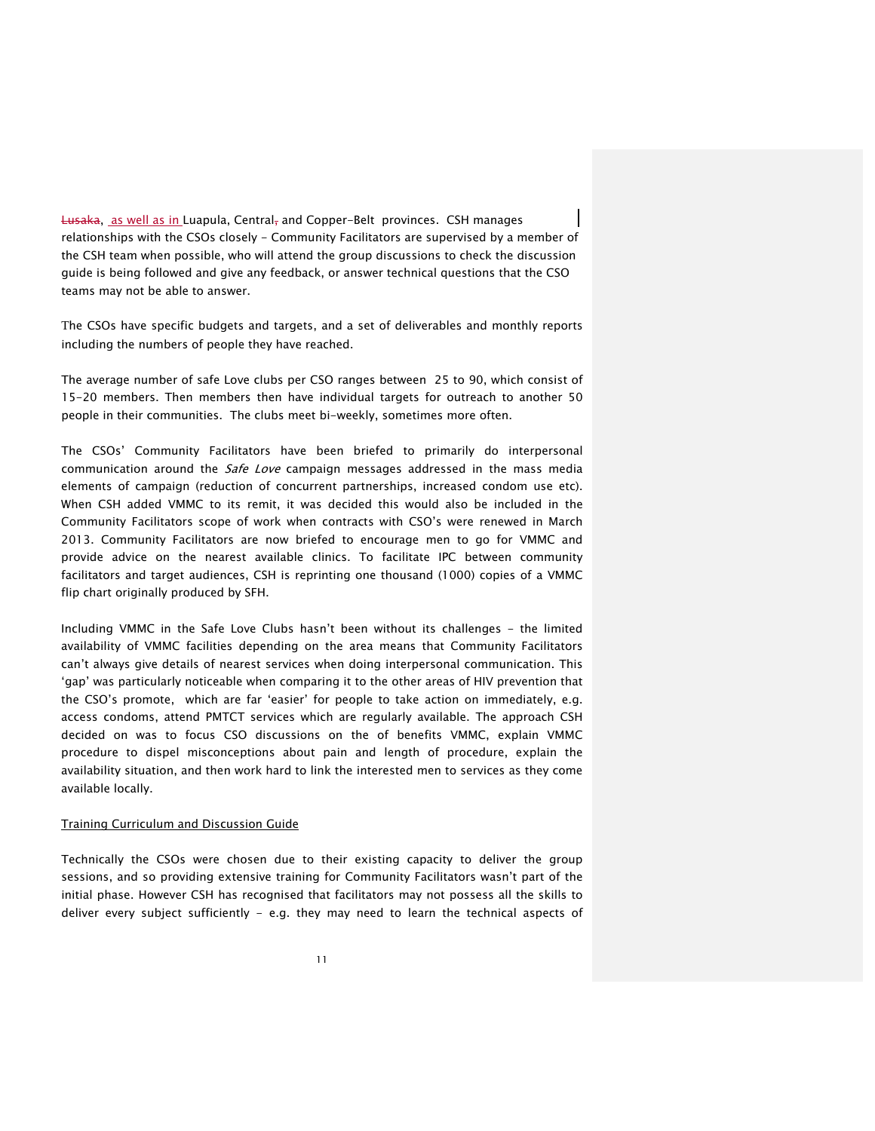**Lusaka, as well as in Luapula, Central, and Copper-Belt provinces. CSH manages** relationships with the CSOs closely - Community Facilitators are supervised by a member of the CSH team when possible, who will attend the group discussions to check the discussion guide is being followed and give any feedback, or answer technical questions that the CSO teams may not be able to answer.

The CSOs have specific budgets and targets, and a set of deliverables and monthly reports including the numbers of people they have reached.

The average number of safe Love clubs per CSO ranges between 25 to 90, which consist of 15-20 members. Then members then have individual targets for outreach to another 50 people in their communities. The clubs meet bi-weekly, sometimes more often.

The CSOs' Community Facilitators have been briefed to primarily do interpersonal communication around the Safe Love campaign messages addressed in the mass media elements of campaign (reduction of concurrent partnerships, increased condom use etc). When CSH added VMMC to its remit, it was decided this would also be included in the Community Facilitators scope of work when contracts with CSO's were renewed in March 2013. Community Facilitators are now briefed to encourage men to go for VMMC and provide advice on the nearest available clinics. To facilitate IPC between community facilitators and target audiences, CSH is reprinting one thousand (1000) copies of a VMMC flip chart originally produced by SFH.

Including VMMC in the Safe Love Clubs hasn't been without its challenges - the limited availability of VMMC facilities depending on the area means that Community Facilitators can't always give details of nearest services when doing interpersonal communication. This 'gap' was particularly noticeable when comparing it to the other areas of HIV prevention that the CSO's promote, which are far 'easier' for people to take action on immediately, e.g. access condoms, attend PMTCT services which are regularly available. The approach CSH decided on was to focus CSO discussions on the of benefits VMMC, explain VMMC procedure to dispel misconceptions about pain and length of procedure, explain the availability situation, and then work hard to link the interested men to services as they come available locally.

### Training Curriculum and Discussion Guide

Technically the CSOs were chosen due to their existing capacity to deliver the group sessions, and so providing extensive training for Community Facilitators wasn't part of the initial phase. However CSH has recognised that facilitators may not possess all the skills to deliver every subject sufficiently - e.g. they may need to learn the technical aspects of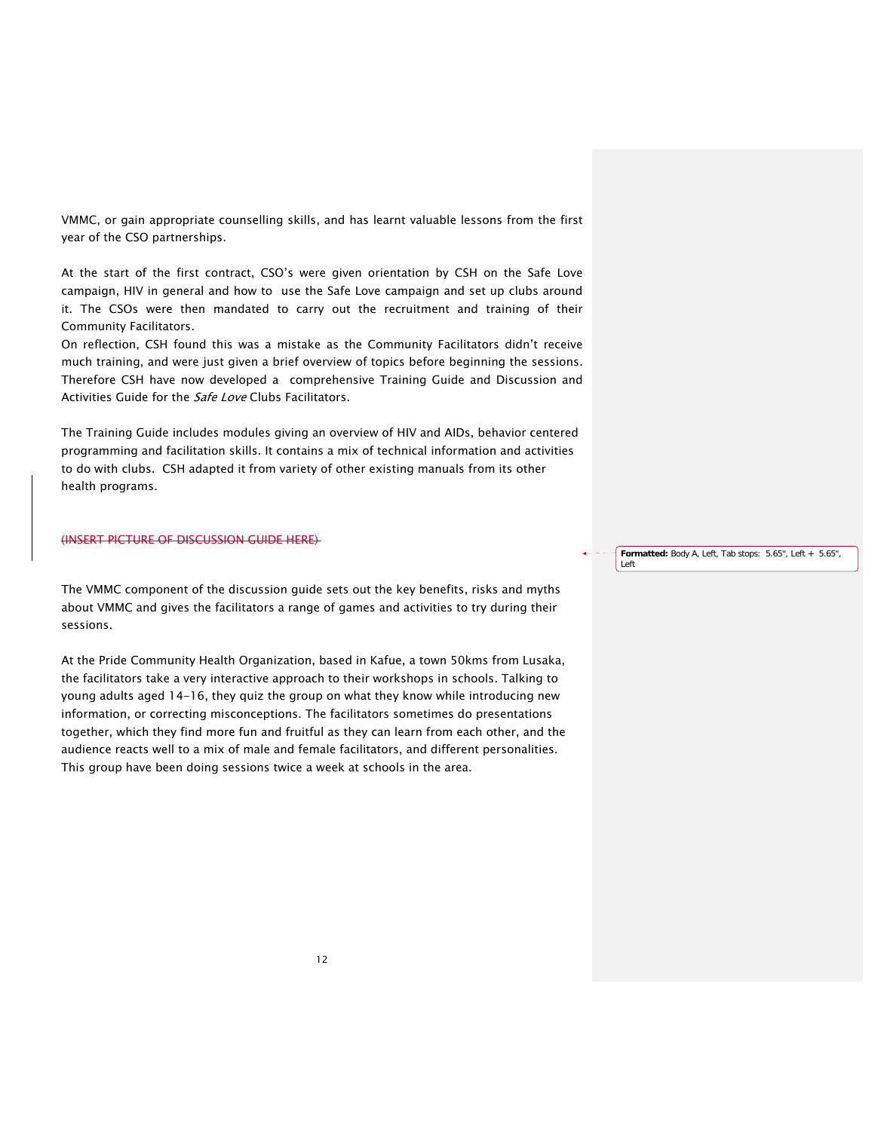VMMC, or gain appropriate counselling skills, and has learnt valuable lessons from the first year of the CSO partnerships.

At the start of the first contract, CSO's were given orientation by CSH on the Safe Love campaign, HIV in general and how to use the Safe Love campaign and set up clubs around it. The CSOs were then mandated to carry out the recruitment and training of their Community Facilitators.

On reflection, CSH found this was a mistake as the Community Facilitators didn't receive much training, and were just given a brief overview of topics before beginning the sessions. Therefore CSH have now developed a comprehensive Training Guide and Discussion and Activities Guide for the *Safe Love* Clubs Facilitators.

The Training Guide includes modules giving an overview of HIV and AIDs, behavior centered programming and facilitation skills. It contains a mix of technical information and activities to do with clubs. CSH adapted it from variety of other existing manuals from its other health programs.

### (INSERT PICTURE OF DISCUSSION GUIDE HERE)

The VMMC component of the discussion guide sets out the key benefits, risks and myths about VMMC and gives the facilitators a range of games and activities to try during their sessions.

At the Pride Community Health Organization, based in Kafue, a town 50kms from Lusaka, the facilitators take a very interactive approach to their workshops in schools. Talking to young adults aged 14-16, they quiz the group on what they know while introducing new information, or correcting misconceptions. The facilitators sometimes do presentations together, which they find more fun and fruitful as they can learn from each other, and the audience reacts well to a mix of male and female facilitators, and different personalities. This group have been doing sessions twice a week at schools in the area.

**Formatted:** Body A, Left, Tab stops: 5.65", Left + 5.65", Left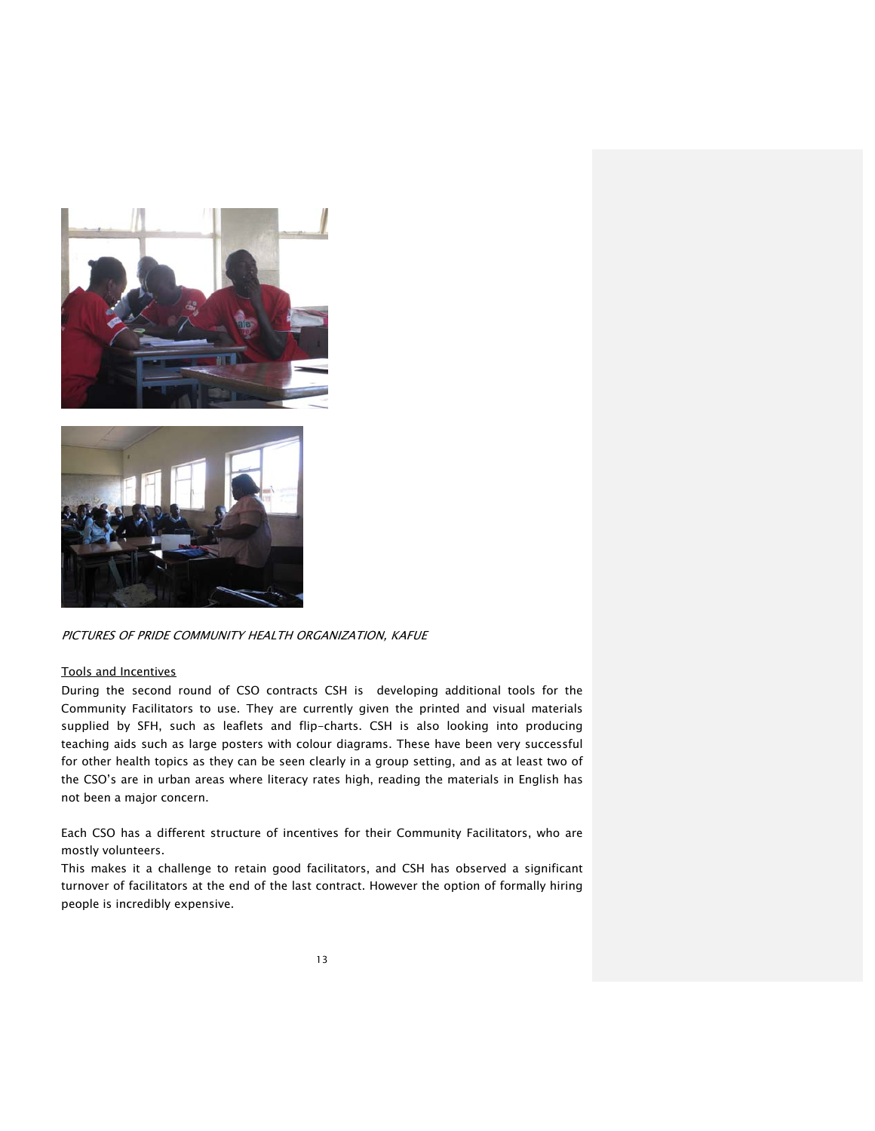



PICTURES OF PRIDE COMMUNITY HEALTH ORGANIZATION, KAFUE

# Tools and Incentives

During the second round of CSO contracts CSH is developing additional tools for the Community Facilitators to use. They are currently given the printed and visual materials supplied by SFH, such as leaflets and flip-charts. CSH is also looking into producing teaching aids such as large posters with colour diagrams. These have been very successful for other health topics as they can be seen clearly in a group setting, and as at least two of the CSO's are in urban areas where literacy rates high, reading the materials in English has not been a major concern.

Each CSO has a different structure of incentives for their Community Facilitators, who are mostly volunteers.

This makes it a challenge to retain good facilitators, and CSH has observed a significant turnover of facilitators at the end of the last contract. However the option of formally hiring people is incredibly expensive.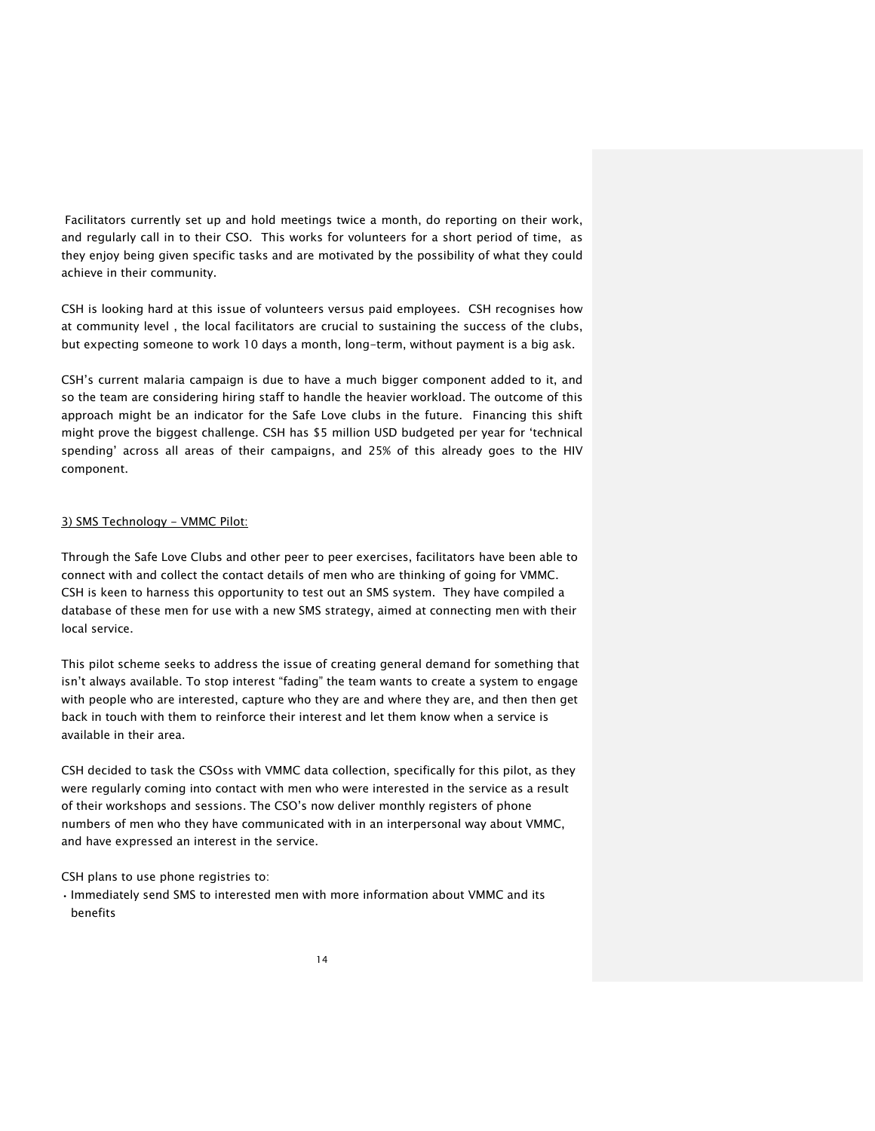Facilitators currently set up and hold meetings twice a month, do reporting on their work, and regularly call in to their CSO. This works for volunteers for a short period of time, as they enjoy being given specific tasks and are motivated by the possibility of what they could achieve in their community.

CSH is looking hard at this issue of volunteers versus paid employees. CSH recognises how at community level , the local facilitators are crucial to sustaining the success of the clubs, but expecting someone to work 10 days a month, long-term, without payment is a big ask.

CSH's current malaria campaign is due to have a much bigger component added to it, and so the team are considering hiring staff to handle the heavier workload. The outcome of this approach might be an indicator for the Safe Love clubs in the future. Financing this shift might prove the biggest challenge. CSH has \$5 million USD budgeted per year for 'technical spending' across all areas of their campaigns, and 25% of this already goes to the HIV component.

### 3) SMS Technology - VMMC Pilot:

Through the Safe Love Clubs and other peer to peer exercises, facilitators have been able to connect with and collect the contact details of men who are thinking of going for VMMC. CSH is keen to harness this opportunity to test out an SMS system. They have compiled a database of these men for use with a new SMS strategy, aimed at connecting men with their local service.

This pilot scheme seeks to address the issue of creating general demand for something that isn't always available. To stop interest "fading" the team wants to create a system to engage with people who are interested, capture who they are and where they are, and then then get back in touch with them to reinforce their interest and let them know when a service is available in their area.

CSH decided to task the CSOss with VMMC data collection, specifically for this pilot, as they were regularly coming into contact with men who were interested in the service as a result of their workshops and sessions. The CSO's now deliver monthly registers of phone numbers of men who they have communicated with in an interpersonal way about VMMC, and have expressed an interest in the service.

CSH plans to use phone registries to:

• Immediately send SMS to interested men with more information about VMMC and its benefits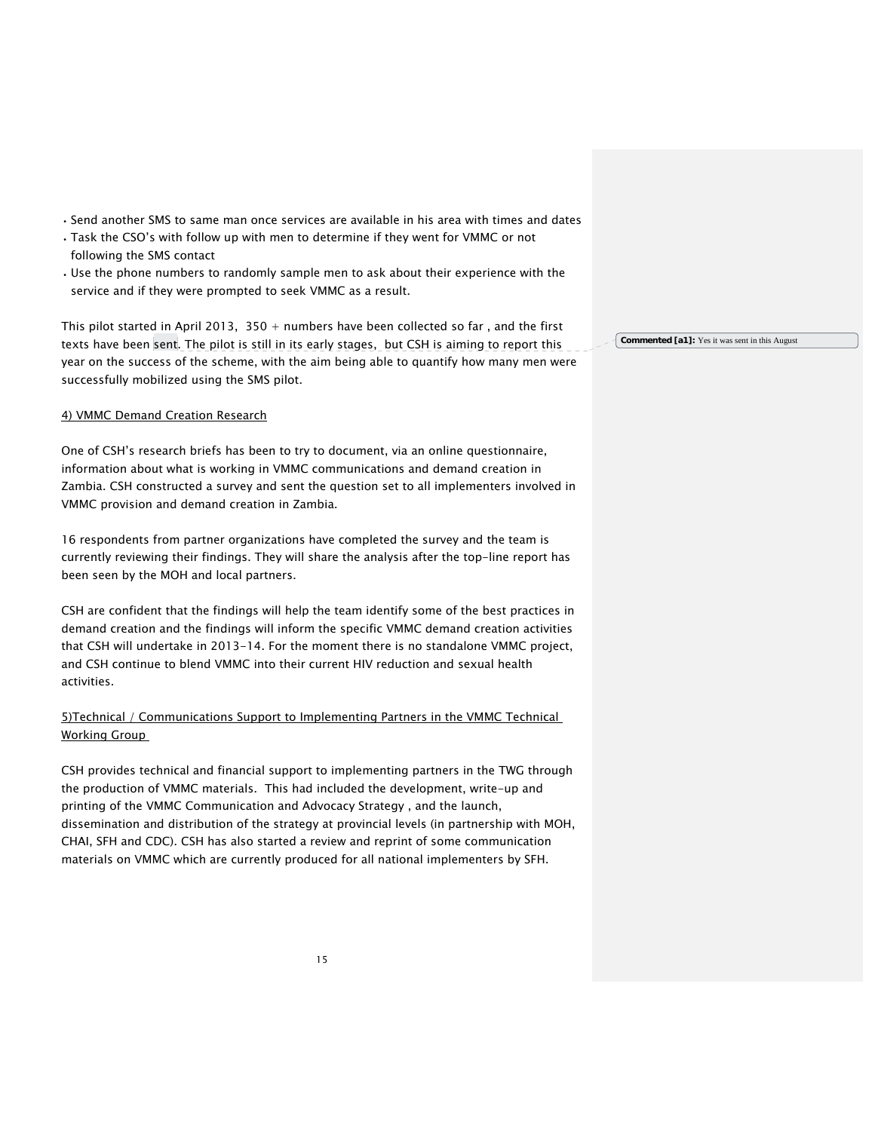- Send another SMS to same man once services are available in his area with times and dates
- Task the CSO's with follow up with men to determine if they went for VMMC or not following the SMS contact
- Use the phone numbers to randomly sample men to ask about their experience with the service and if they were prompted to seek VMMC as a result.

This pilot started in April 2013,  $350 +$  numbers have been collected so far, and the first texts have been sent. The pilot is still in its early stages, but CSH is aiming to report this year on the success of the scheme, with the aim being able to quantify how many men were successfully mobilized using the SMS pilot.

## 4) VMMC Demand Creation Research

One of CSH's research briefs has been to try to document, via an online questionnaire, information about what is working in VMMC communications and demand creation in Zambia. CSH constructed a survey and sent the question set to all implementers involved in VMMC provision and demand creation in Zambia.

16 respondents from partner organizations have completed the survey and the team is currently reviewing their findings. They will share the analysis after the top-line report has been seen by the MOH and local partners.

CSH are confident that the findings will help the team identify some of the best practices in demand creation and the findings will inform the specific VMMC demand creation activities that CSH will undertake in 2013-14. For the moment there is no standalone VMMC project, and CSH continue to blend VMMC into their current HIV reduction and sexual health activities.

5)Technical / Communications Support to Implementing Partners in the VMMC Technical Working Group

CSH provides technical and financial support to implementing partners in the TWG through the production of VMMC materials. This had included the development, write-up and printing of the VMMC Communication and Advocacy Strategy , and the launch, dissemination and distribution of the strategy at provincial levels (in partnership with MOH, CHAI, SFH and CDC). CSH has also started a review and reprint of some communication materials on VMMC which are currently produced for all national implementers by SFH.

**Commented [a1]:** Yes it was sent in this August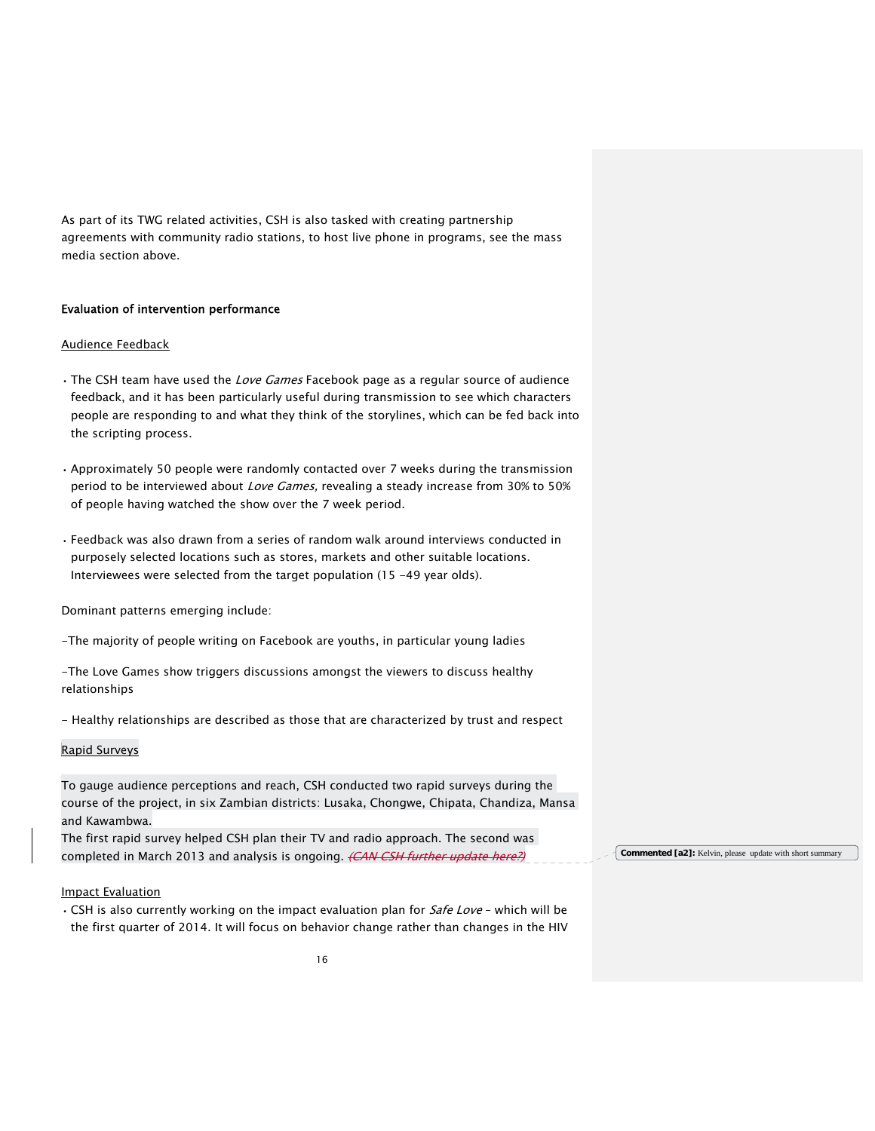As part of its TWG related activities, CSH is also tasked with creating partnership agreements with community radio stations, to host live phone in programs, see the mass media section above.

# Evaluation of intervention performance

### Audience Feedback

- The CSH team have used the *Love Games* Facebook page as a regular source of audience feedback, and it has been particularly useful during transmission to see which characters people are responding to and what they think of the storylines, which can be fed back into the scripting process.
- Approximately 50 people were randomly contacted over 7 weeks during the transmission period to be interviewed about Love Games, revealing a steady increase from 30% to 50% of people having watched the show over the 7 week period.
- Feedback was also drawn from a series of random walk around interviews conducted in purposely selected locations such as stores, markets and other suitable locations. Interviewees were selected from the target population (15 -49 year olds).

Dominant patterns emerging include:

-The majority of people writing on Facebook are youths, in particular young ladies

-The Love Games show triggers discussions amongst the viewers to discuss healthy relationships

- Healthy relationships are described as those that are characterized by trust and respect

### Rapid Surveys

To gauge audience perceptions and reach, CSH conducted two rapid surveys during the course of the project, in six Zambian districts: Lusaka, Chongwe, Chipata, Chandiza, Mansa and Kawambwa.

The first rapid survey helped CSH plan their TV and radio approach. The second was completed in March 2013 and analysis is ongoing. (CAN CSH further update here?)

#### Impact Evaluation

• CSH is also currently working on the impact evaluation plan for Safe Love - which will be the first quarter of 2014. It will focus on behavior change rather than changes in the HIV **Commented [a2]:** Kelvin, please update with short summary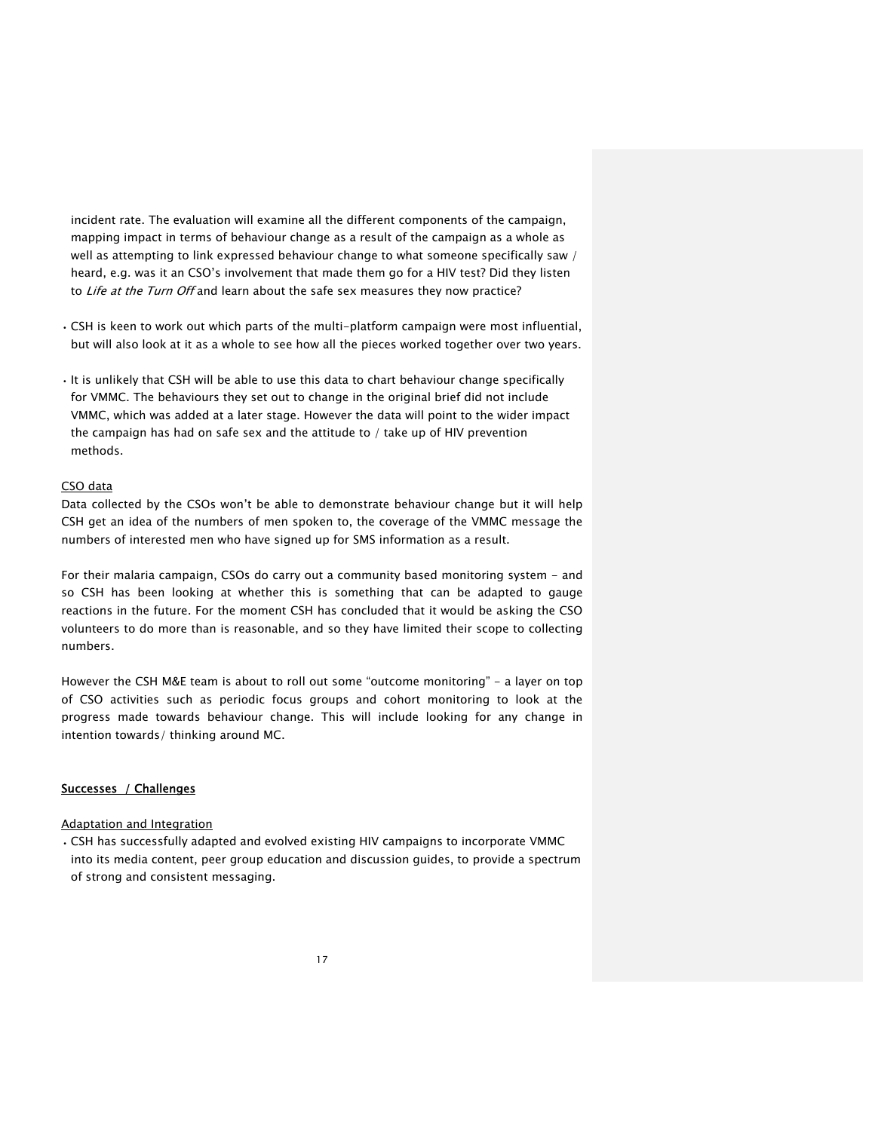incident rate. The evaluation will examine all the different components of the campaign, mapping impact in terms of behaviour change as a result of the campaign as a whole as well as attempting to link expressed behaviour change to what someone specifically saw / heard, e.g. was it an CSO's involvement that made them go for a HIV test? Did they listen to Life at the Turn Off and learn about the safe sex measures they now practice?

- CSH is keen to work out which parts of the multi-platform campaign were most influential, but will also look at it as a whole to see how all the pieces worked together over two years.
- It is unlikely that CSH will be able to use this data to chart behaviour change specifically for VMMC. The behaviours they set out to change in the original brief did not include VMMC, which was added at a later stage. However the data will point to the wider impact the campaign has had on safe sex and the attitude to / take up of HIV prevention methods.

# CSO data

Data collected by the CSOs won't be able to demonstrate behaviour change but it will help CSH get an idea of the numbers of men spoken to, the coverage of the VMMC message the numbers of interested men who have signed up for SMS information as a result.

For their malaria campaign, CSOs do carry out a community based monitoring system - and so CSH has been looking at whether this is something that can be adapted to gauge reactions in the future. For the moment CSH has concluded that it would be asking the CSO volunteers to do more than is reasonable, and so they have limited their scope to collecting numbers.

However the CSH M&E team is about to roll out some "outcome monitoring" - a layer on top of CSO activities such as periodic focus groups and cohort monitoring to look at the progress made towards behaviour change. This will include looking for any change in intention towards/ thinking around MC.

# Successes / Challenges

### Adaptation and Integration

• CSH has successfully adapted and evolved existing HIV campaigns to incorporate VMMC into its media content, peer group education and discussion guides, to provide a spectrum of strong and consistent messaging.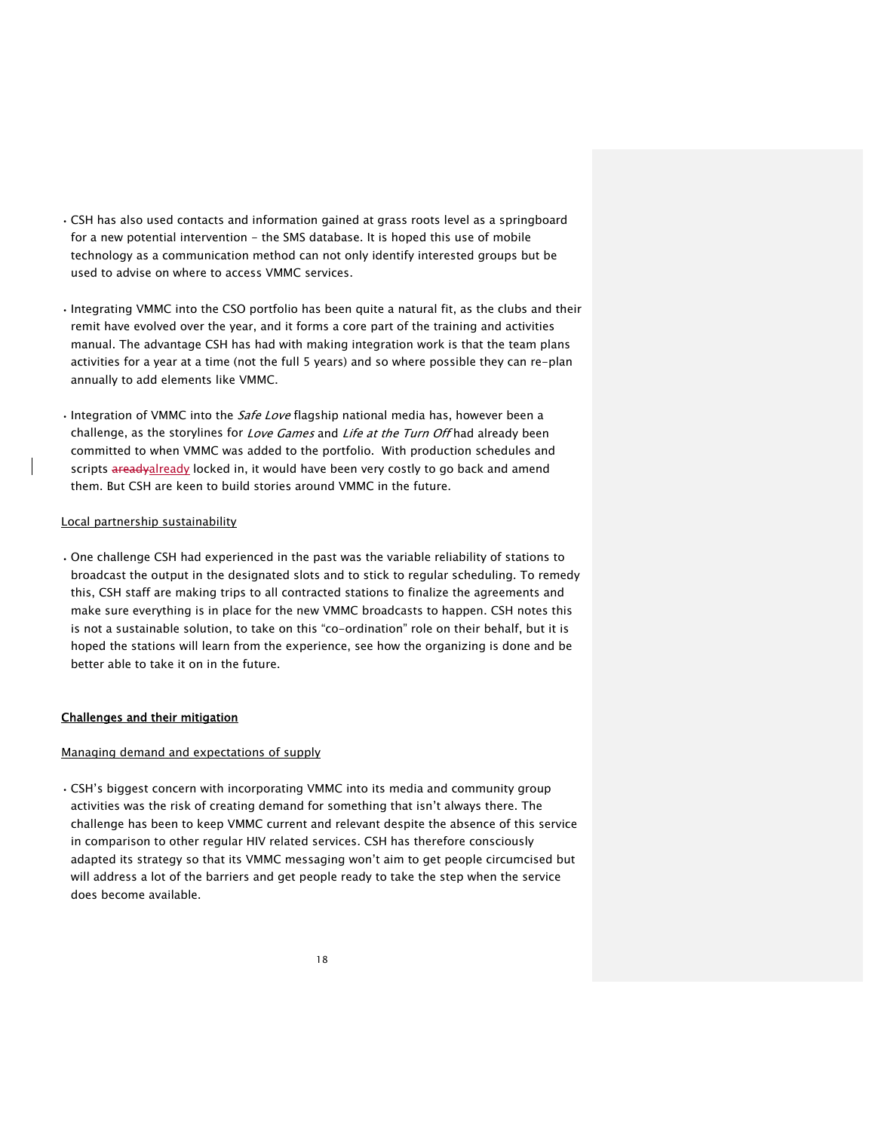- CSH has also used contacts and information gained at grass roots level as a springboard for a new potential intervention - the SMS database. It is hoped this use of mobile technology as a communication method can not only identify interested groups but be used to advise on where to access VMMC services.
- Integrating VMMC into the CSO portfolio has been quite a natural fit, as the clubs and their remit have evolved over the year, and it forms a core part of the training and activities manual. The advantage CSH has had with making integration work is that the team plans activities for a year at a time (not the full 5 years) and so where possible they can re-plan annually to add elements like VMMC.
- Integration of VMMC into the *Safe Love* flagship national media has, however been a challenge, as the storylines for Love Games and Life at the Turn Off had already been committed to when VMMC was added to the portfolio. With production schedules and scripts areadyalready locked in, it would have been very costly to go back and amend them. But CSH are keen to build stories around VMMC in the future.

### Local partnership sustainability

• One challenge CSH had experienced in the past was the variable reliability of stations to broadcast the output in the designated slots and to stick to regular scheduling. To remedy this, CSH staff are making trips to all contracted stations to finalize the agreements and make sure everything is in place for the new VMMC broadcasts to happen. CSH notes this is not a sustainable solution, to take on this "co-ordination" role on their behalf, but it is hoped the stations will learn from the experience, see how the organizing is done and be better able to take it on in the future.

### Challenges and their mitigation

#### Managing demand and expectations of supply

• CSH's biggest concern with incorporating VMMC into its media and community group activities was the risk of creating demand for something that isn't always there. The challenge has been to keep VMMC current and relevant despite the absence of this service in comparison to other regular HIV related services. CSH has therefore consciously adapted its strategy so that its VMMC messaging won't aim to get people circumcised but will address a lot of the barriers and get people ready to take the step when the service does become available.